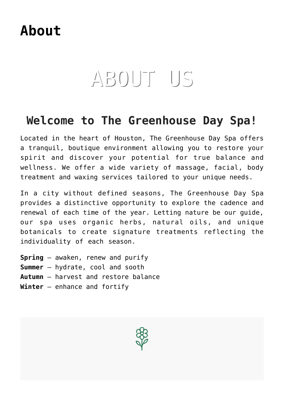## **[About](https://thegreenhousedayspa.com/about/)**

# ABOUT US

#### **Welcome to The Greenhouse Day Spa!**

Located in the heart of Houston, The Greenhouse Day Spa offers a tranquil, boutique environment allowing you to restore your spirit and discover your potential for true balance and wellness. We offer a wide variety of massage, facial, body treatment and waxing services tailored to your unique needs.

In a city without defined seasons, The Greenhouse Day Spa provides a distinctive opportunity to explore the cadence and renewal of each time of the year. Letting nature be our guide, our spa uses organic herbs, natural oils, and unique botanicals to create signature treatments reflecting the individuality of each season.

**Spring** – awaken, renew and purify **Summer** – hydrate, cool and sooth **Autumn** – harvest and restore balance **Winter** – enhance and fortify

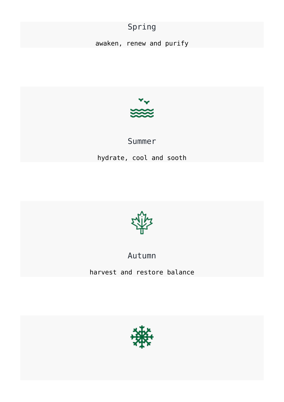#### Spring

awaken, renew and purify



## Summer hydrate, cool and sooth



Autumn

harvest and restore balance